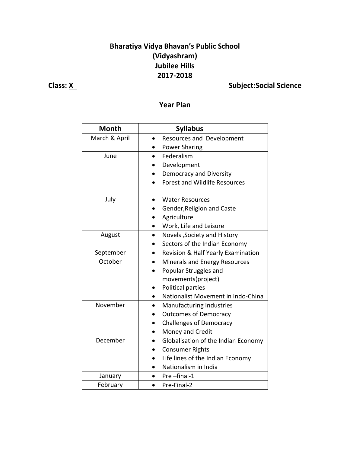## **Bharatiya Vidya Bhavan's Public School (Vidyashram) Jubilee Hills 2017-2018**

## **Class: X** Subject:Social Science

### **Year Plan**

| <b>Month</b>  | <b>Syllabus</b>                      |
|---------------|--------------------------------------|
| March & April | Resources and Development            |
|               | <b>Power Sharing</b>                 |
| June          | Federalism                           |
|               | Development                          |
|               | Democracy and Diversity              |
|               | <b>Forest and Wildlife Resources</b> |
|               |                                      |
| July          | <b>Water Resources</b>               |
|               | Gender, Religion and Caste           |
|               | Agriculture                          |
|               | Work, Life and Leisure               |
| August        | Novels, Society and History          |
|               | Sectors of the Indian Economy        |
| September     | Revision & Half Yearly Examination   |
| October       | Minerals and Energy Resources        |
|               | Popular Struggles and                |
|               | movements(project)                   |
|               | Political parties                    |
|               | Nationalist Movement in Indo-China   |
| November      | Manufacturing Industries             |
|               | <b>Outcomes of Democracy</b>         |
|               | <b>Challenges of Democracy</b>       |
|               | Money and Credit                     |
| December      | Globalisation of the Indian Economy  |
|               | <b>Consumer Rights</b>               |
|               | Life lines of the Indian Economy     |
|               | Nationalism in India                 |
| January       | Pre-final-1                          |
| February      | Pre-Final-2                          |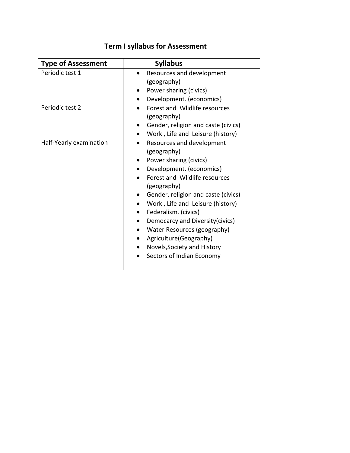| <b>Type of Assessment</b> | <b>Syllabus</b>                     |
|---------------------------|-------------------------------------|
| Periodic test 1           | Resources and development           |
|                           | (geography)                         |
|                           | Power sharing (civics)              |
|                           | Development. (economics)            |
| Periodic test 2           | Forest and Wlidlife resources       |
|                           | (geography)                         |
|                           | Gender, religion and caste (civics) |
|                           | Work, Life and Leisure (history)    |
| Half-Yearly examination   | Resources and development           |
|                           | (geography)                         |
|                           | Power sharing (civics)              |
|                           | Development. (economics)            |
|                           | Forest and Wlidlife resources       |
|                           | (geography)                         |
|                           | Gender, religion and caste (civics) |
|                           | Work, Life and Leisure (history)    |
|                           | Federalism. (civics)                |
|                           | Democarcy and Diversity(civics)     |
|                           | Water Resources (geography)         |
|                           | Agriculture(Geography)              |
|                           | Novels, Society and History         |
|                           | Sectors of Indian Economy           |
|                           |                                     |

# **Term I syllabus for Assessment**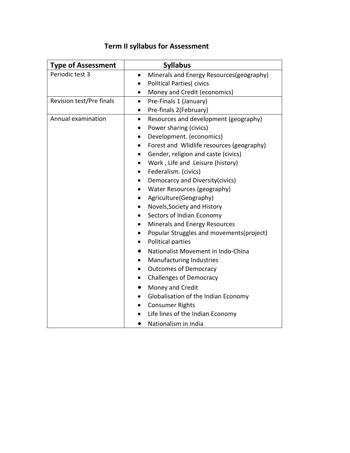| <b>Type of Assessment</b> | <b>Syllabus</b>                                        |
|---------------------------|--------------------------------------------------------|
| Periodic test 3           | Minerals and Energy Resources(geography)<br>$\bullet$  |
|                           | <b>Political Parties(civics</b><br>$\bullet$           |
|                           | Money and Credit (economics)<br>$\bullet$              |
| Revision test/Pre finals  | Pre-Finals 1 (January)<br>$\bullet$                    |
|                           | Pre-finals 2(February)<br>$\bullet$                    |
| Annual examination        | Resources and development (geography)<br>$\bullet$     |
|                           | Power sharing (civics)                                 |
|                           | Development. (economics)<br>$\bullet$                  |
|                           | Forest and Wlidlife resources (geography)<br>$\bullet$ |
|                           | Gender, religion and caste (civics)<br>$\bullet$       |
|                           | Work, Life and Leisure (history)<br>$\bullet$          |
|                           | Federalism. (civics)<br>$\bullet$                      |
|                           | Democarcy and Diversity(civics)<br>$\bullet$           |
|                           | Water Resources (geography)<br>$\bullet$               |
|                           | Agriculture(Geography)<br>$\bullet$                    |
|                           | Novels, Society and History<br>$\bullet$               |
|                           | Sectors of Indian Economy<br>$\bullet$                 |
|                           | Minerals and Energy Resources                          |
|                           | Popular Struggles and movements (project)<br>$\bullet$ |
|                           | Political parties<br>$\bullet$                         |
|                           | Nationalist Movement in Indo-China                     |
|                           | Manufacturing Industries<br>$\bullet$                  |
|                           | <b>Outcomes of Democracy</b>                           |
|                           | <b>Challenges of Democracy</b><br>$\bullet$            |
|                           | Money and Credit<br>$\bullet$                          |
|                           | Globalisation of the Indian Economy<br>$\bullet$       |
|                           | <b>Consumer Rights</b><br>$\bullet$                    |
|                           | Life lines of the Indian Economy                       |
|                           | Nationalism in India                                   |

# **Term II syllabus for Assessment**